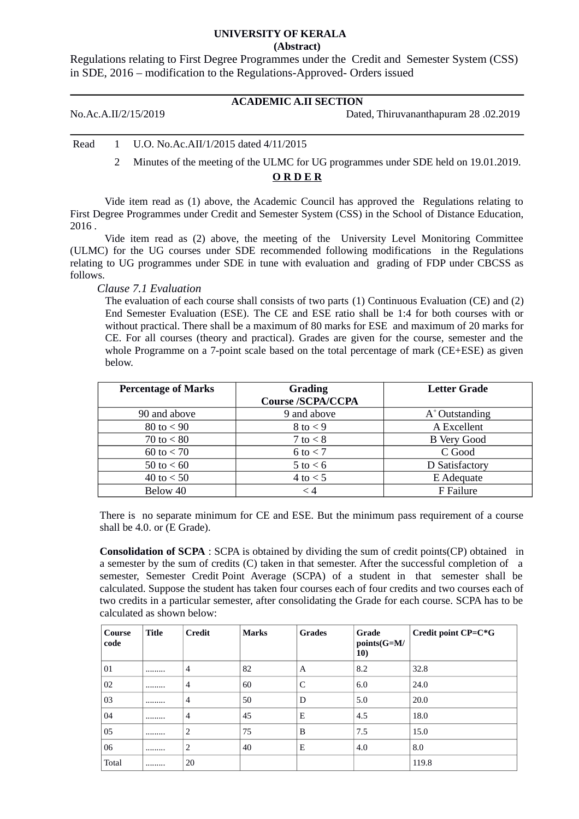#### **UNIVERSITY OF KERALA (Abstract)**

Regulations relating to First Degree Programmes under the Credit and Semester System (CSS) in SDE, 2016 – modification to the Regulations-Approved- Orders issued

# **ACADEMIC A.II SECTION**

No.Ac.A.II/2/15/2019 Dated, Thiruvananthapuram 28 .02.2019

Read 1 U.O. No.Ac.AII/1/2015 dated 4/11/2015

2 Minutes of the meeting of the ULMC for UG programmes under SDE held on 19.01.2019.

## **O R D E R**

Vide item read as (1) above, the Academic Council has approved the Regulations relating to First Degree Programmes under Credit and Semester System (CSS) in the School of Distance Education, 2016 .

Vide item read as (2) above, the meeting of the University Level Monitoring Committee (ULMC) for the UG courses under SDE recommended following modifications in the Regulations relating to UG programmes under SDE in tune with evaluation and grading of FDP under CBCSS as follows.

*Clause 7.1 Evaluation* 

The evaluation of each course shall consists of two parts (1) Continuous Evaluation (CE) and (2) End Semester Evaluation (ESE). The CE and ESE ratio shall be 1:4 for both courses with or without practical. There shall be a maximum of 80 marks for ESE and maximum of 20 marks for CE. For all courses (theory and practical). Grades are given for the course, semester and the whole Programme on a 7-point scale based on the total percentage of mark (CE+ESE) as given below.

| <b>Percentage of Marks</b> | <b>Grading</b><br><b>Course/SCPA/CCPA</b> | <b>Letter Grade</b> |
|----------------------------|-------------------------------------------|---------------------|
| 90 and above               | 9 and above                               | $A^*$ Outstanding   |
| 80 to $< 90$               | 8 to $<$ 9                                | A Excellent         |
| 70 to $< 80$               | 7 to $< 8$                                | <b>B</b> Very Good  |
| 60 to $< 70$               | 6 to $<$ 7                                | C Good              |
| 50 to $< 60$               | 5 to $< 6$                                | D Satisfactory      |
| 40 to $< 50$               | 4 to $< 5$                                | E Adequate          |
| Below 40                   | < 4                                       | F Failure           |

There is no separate minimum for CE and ESE. But the minimum pass requirement of a course shall be 4.0. or (E Grade).

**Consolidation of SCPA** : SCPA is obtained by dividing the sum of credit points(CP) obtained in a semester by the sum of credits (C) taken in that semester. After the successful completion of a semester, Semester Credit Point Average (SCPA) of a student in that semester shall be calculated. Suppose the student has taken four courses each of four credits and two courses each of two credits in a particular semester, after consolidating the Grade for each course. SCPA has to be calculated as shown below:

| Course<br>code | Title | <b>Credit</b>  | <b>Marks</b> | <b>Grades</b> | Grade<br>points(G=M/<br>10) | Credit point CP=C*G |
|----------------|-------|----------------|--------------|---------------|-----------------------------|---------------------|
| 01             |       | $\overline{4}$ | 82           | A             | 8.2                         | 32.8                |
| 02             |       | $\overline{4}$ | 60           | C             | 6.0                         | 24.0                |
| 03             |       | $\overline{4}$ | 50           | D             | 5.0                         | 20.0                |
| 04             |       | $\overline{4}$ | 45           | E             | 4.5                         | 18.0                |
| 05             |       | $\overline{2}$ | 75           | B             | 7.5                         | 15.0                |
| 06             |       | 2              | 40           | Ε             | 4.0                         | 8.0                 |
| Total          |       | 20             |              |               |                             | 119.8               |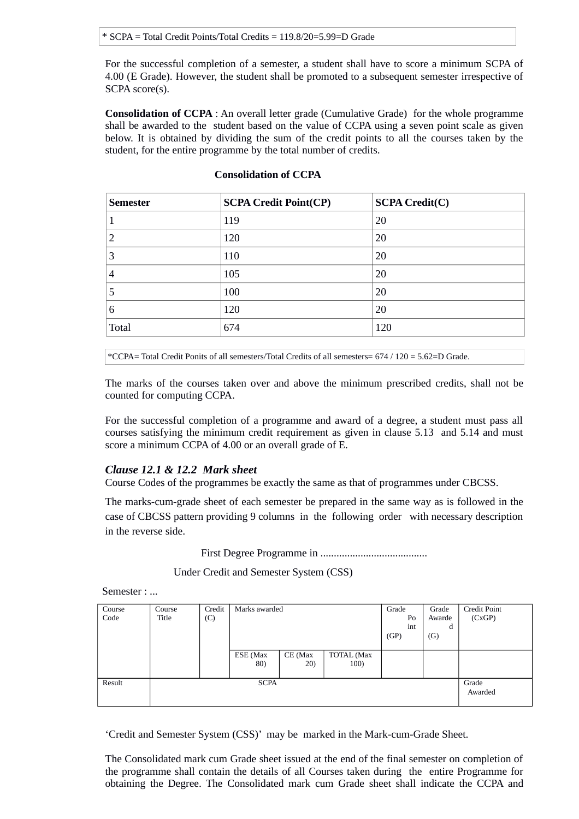For the successful completion of a semester, a student shall have to score a minimum SCPA of 4.00 (E Grade). However, the student shall be promoted to a subsequent semester irrespective of SCPA score(s).

**Consolidation of CCPA** : An overall letter grade (Cumulative Grade) for the whole programme shall be awarded to the student based on the value of CCPA using a seven point scale as given below. It is obtained by dividing the sum of the credit points to all the courses taken by the student, for the entire programme by the total number of credits.

| <b>Semester</b> | <b>SCPA Credit Point(CP)</b> | <b>SCPA Credit(C)</b> |  |  |
|-----------------|------------------------------|-----------------------|--|--|
| 1               | 119                          | 20                    |  |  |
| 2               | 120                          | 20                    |  |  |
| З               | 110                          | 20                    |  |  |
| 4               | 105                          | 20                    |  |  |
| 5               | 100                          | 20                    |  |  |
| 6               | 120                          | 20                    |  |  |
| Total           | 674                          | 120                   |  |  |

#### **Consolidation of CCPA**

\*CCPA= Total Credit Ponits of all semesters/Total Credits of all semesters= 674 / 120 = 5.62=D Grade.

The marks of the courses taken over and above the minimum prescribed credits, shall not be counted for computing CCPA.

For the successful completion of a programme and award of a degree, a student must pass all courses satisfying the minimum credit requirement as given in clause 5.13 and 5.14 and must score a minimum CCPA of 4.00 or an overall grade of E.

## *Clause 12.1 & 12.2 Mark sheet*

Course Codes of the programmes be exactly the same as that of programmes under CBCSS.

The marks-cum-grade sheet of each semester be prepared in the same way as is followed in the case of CBCSS pattern providing 9 columns in the following order with necessary description in the reverse side.

First Degree Programme in ........................................

Under Credit and Semester System (CSS)

Semester : ...

| Course<br>Code | Course<br>Title | Credit<br>(C) | Marks awarded   |                  |                    | Grade<br>Po<br>int<br>(GP) | Grade<br>Awarde<br>d<br>(G) | Credit Point<br>(CxGP) |
|----------------|-----------------|---------------|-----------------|------------------|--------------------|----------------------------|-----------------------------|------------------------|
|                |                 |               | ESE (Max<br>80) | $CE$ (Max<br>20) | TOTAL (Max<br>100) |                            |                             |                        |
| Result         | <b>SCPA</b>     |               |                 |                  |                    |                            | Grade<br>Awarded            |                        |

'Credit and Semester System (CSS)' may be marked in the Mark-cum-Grade Sheet.

The Consolidated mark cum Grade sheet issued at the end of the final semester on completion of the programme shall contain the details of all Courses taken during the entire Programme for obtaining the Degree. The Consolidated mark cum Grade sheet shall indicate the CCPA and